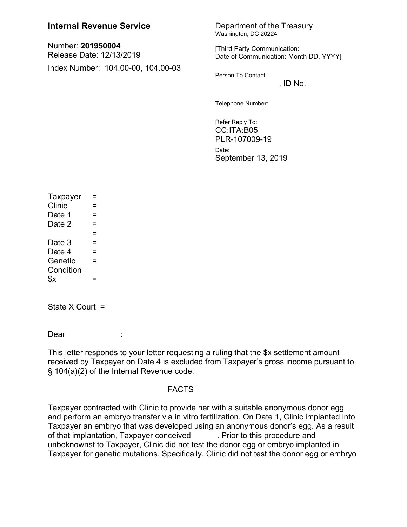## **Internal Revenue Service** Department of the Treasury

Number: **201950004** Release Date: 12/13/2019 Index Number: 104.00-00, 104.00-03 Washington, DC 20224

[Third Party Communication: Date of Communication: Month DD, YYYY]

Person To Contact:

 $,$  ID No.

Telephone Number:

Refer Reply To: CC:ITA:B05 PLR-107009-19 Date: September 13, 2019

| Taxpayer  | $=$ |  |
|-----------|-----|--|
| Clinic    | $=$ |  |
| Date 1    | $=$ |  |
| Date 2    | $=$ |  |
|           | $=$ |  |
| Date 3    | $=$ |  |
| Date 4    | $=$ |  |
| Genetic   | $=$ |  |
| Condition |     |  |
| $x^2$     | =   |  |

State  $X$  Court =

Dear :

This letter responds to your letter requesting a ruling that the \$x settlement amount received by Taxpayer on Date 4 is excluded from Taxpayer's gross income pursuant to § 104(a)(2) of the Internal Revenue code.

## FACTS

Taxpayer contracted with Clinic to provide her with a suitable anonymous donor egg and perform an embryo transfer via in vitro fertilization. On Date 1, Clinic implanted into Taxpayer an embryo that was developed using an anonymous donor's egg. As a result of that implantation, Taxpayer conceived . Prior to this procedure and unbeknownst to Taxpayer, Clinic did not test the donor egg or embryo implanted in Taxpayer for genetic mutations. Specifically, Clinic did not test the donor egg or embryo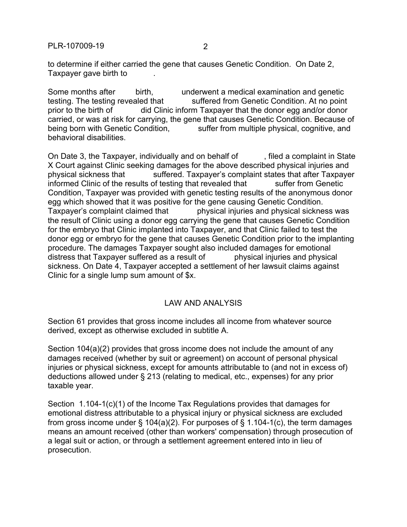PLR-107009-19 2

to determine if either carried the gene that causes Genetic Condition. On Date 2, Taxpayer gave birth to

Some months after  $\frac{1}{2}$  birth,  $\frac{1}{2}$  underwent a medical examination and genetic testing. The testing revealed that suffered from Genetic Condition. At no point prior to the birth of did Clinic inform Taxpayer that the donor egg and/or donor carried, or was at risk for carrying, the gene that causes Genetic Condition. Because of being born with Genetic Condition, suffer from multiple physical, cognitive, and behavioral disabilities.

On Date 3, the Taxpayer, individually and on behalf of filed a complaint in State X Court against Clinic seeking damages for the above described physical injuries and physical sickness that  $\longrightarrow$  suffered. Taxpayer's complaint states that after Taxpayer informed Clinic of the results of testing that revealed that suffer from Genetic Condition, Taxpayer was provided with genetic testing results of the anonymous donor egg which showed that it was positive for the gene causing Genetic Condition. Taxpayer's complaint claimed that  $\qquad \qquad$  physical injuries and physical sickness was the result of Clinic using a donor egg carrying the gene that causes Genetic Condition for the embryo that Clinic implanted into Taxpayer, and that Clinic failed to test the donor egg or embryo for the gene that causes Genetic Condition prior to the implanting procedure. The damages Taxpayer sought also included damages for emotional distress that Taxpayer suffered as a result of entity physical injuries and physical sickness. On Date 4, Taxpayer accepted a settlement of her lawsuit claims against Clinic for a single lump sum amount of \$x.

## LAW AND ANALYSIS

Section 61 provides that gross income includes all income from whatever source derived, except as otherwise excluded in subtitle A.

Section 104(a)(2) provides that gross income does not include the amount of any damages received (whether by suit or agreement) on account of personal physical injuries or physical sickness, except for amounts attributable to (and not in excess of) deductions allowed under § 213 (relating to medical, etc., expenses) for any prior taxable year.

Section 1.104-1(c)(1) of the Income Tax Regulations provides that damages for emotional distress attributable to a physical injury or physical sickness are excluded from gross income under § 104(a)(2). For purposes of § 1.104-1(c), the term damages means an amount received (other than workers' compensation) through prosecution of a legal suit or action, or through a settlement agreement entered into in lieu of prosecution.